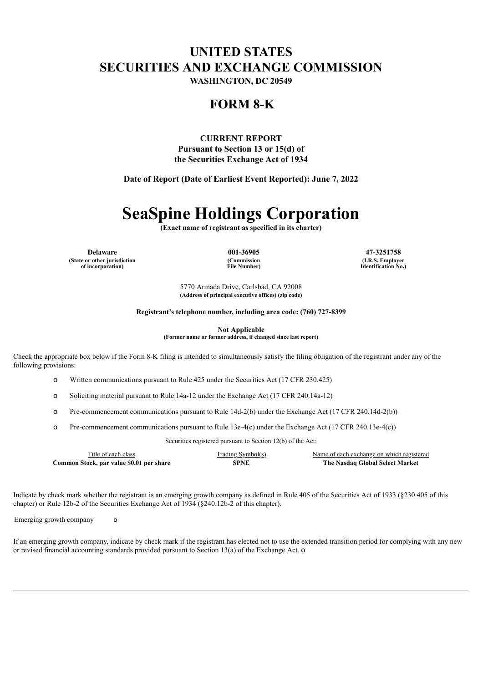## **UNITED STATES SECURITIES AND EXCHANGE COMMISSION**

**WASHINGTON, DC 20549**

### **FORM 8-K**

**CURRENT REPORT Pursuant to Section 13 or 15(d) of the Securities Exchange Act of 1934**

**Date of Report (Date of Earliest Event Reported): June 7, 2022**

# **SeaSpine Holdings Corporation**

**(Exact name of registrant as specified in its charter)**

**Delaware 001-36905 47-3251758 (State or other jurisdiction of incorporation)**

**(Commission File Number)**

**(I.R.S. Employer Identification No.)**

5770 Armada Drive, Carlsbad, CA 92008 **(Address of principal executive offices) (zip code)**

**Registrant's telephone number, including area code: (760) 727-8399**

**Not Applicable**

**(Former name or former address, if changed since last report)**

Check the appropriate box below if the Form 8-K filing is intended to simultaneously satisfy the filing obligation of the registrant under any of the following provisions:

o Written communications pursuant to Rule 425 under the Securities Act (17 CFR 230.425)

- o Soliciting material pursuant to Rule 14a-12 under the Exchange Act (17 CFR 240.14a-12)
- o Pre-commencement communications pursuant to Rule 14d-2(b) under the Exchange Act (17 CFR 240.14d-2(b))
- o Pre-commencement communications pursuant to Rule 13e-4(c) under the Exchange Act (17 CFR 240.13e-4(c))

Securities registered pursuant to Section 12(b) of the Act:

| Title of each class                      | Trading Symbol(s) | Name of each exchange on which registered |
|------------------------------------------|-------------------|-------------------------------------------|
| Common Stock, par value \$0.01 per share | SPNE              | The Nasdaq Global Select Market           |

Indicate by check mark whether the registrant is an emerging growth company as defined in Rule 405 of the Securities Act of 1933 (§230.405 of this chapter) or Rule 12b-2 of the Securities Exchange Act of 1934 (§240.12b-2 of this chapter).

Emerging growth company o

If an emerging growth company, indicate by check mark if the registrant has elected not to use the extended transition period for complying with any new or revised financial accounting standards provided pursuant to Section 13(a) of the Exchange Act. o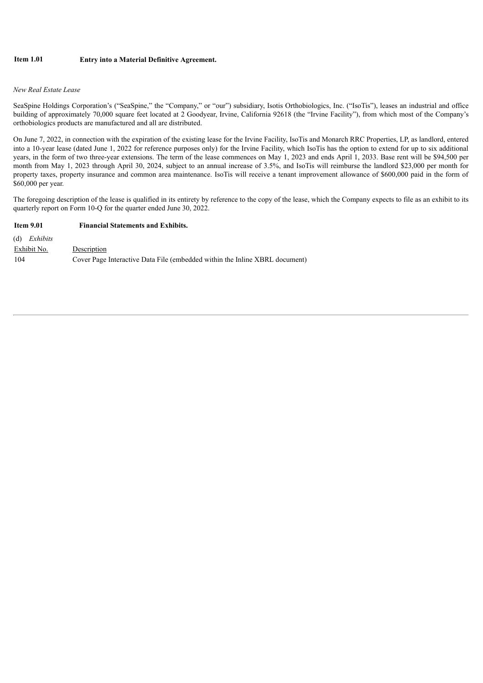#### **Item 1.01 Entry into a Material Definitive Agreement.**

#### *New Real Estate Lease*

SeaSpine Holdings Corporation's ("SeaSpine," the "Company," or "our") subsidiary, Isotis Orthobiologics, Inc. ("IsoTis"), leases an industrial and office building of approximately 70,000 square feet located at 2 Goodyear, Irvine, California 92618 (the "Irvine Facility"), from which most of the Company's orthobiologics products are manufactured and all are distributed.

On June 7, 2022, in connection with the expiration of the existing lease for the Irvine Facility, IsoTis and Monarch RRC Properties, LP, as landlord, entered into a 10-year lease (dated June 1, 2022 for reference purposes only) for the Irvine Facility, which IsoTis has the option to extend for up to six additional years, in the form of two three-year extensions. The term of the lease commences on May 1, 2023 and ends April 1, 2033. Base rent will be \$94,500 per month from May 1, 2023 through April 30, 2024, subject to an annual increase of 3.5%, and IsoTis will reimburse the landlord \$23,000 per month for property taxes, property insurance and common area maintenance. IsoTis will receive a tenant improvement allowance of \$600,000 paid in the form of \$60,000 per year.

The foregoing description of the lease is qualified in its entirety by reference to the copy of the lease, which the Company expects to file as an exhibit to its quarterly report on Form 10-Q for the quarter ended June 30, 2022.

| <b>Item 9.01</b>      | <b>Financial Statements and Exhibits.</b>                                   |  |  |
|-----------------------|-----------------------------------------------------------------------------|--|--|
| $(d)$ <i>Exhibits</i> |                                                                             |  |  |
| Exhibit No.           | Description                                                                 |  |  |
| 104                   | Cover Page Interactive Data File (embedded within the Inline XBRL document) |  |  |